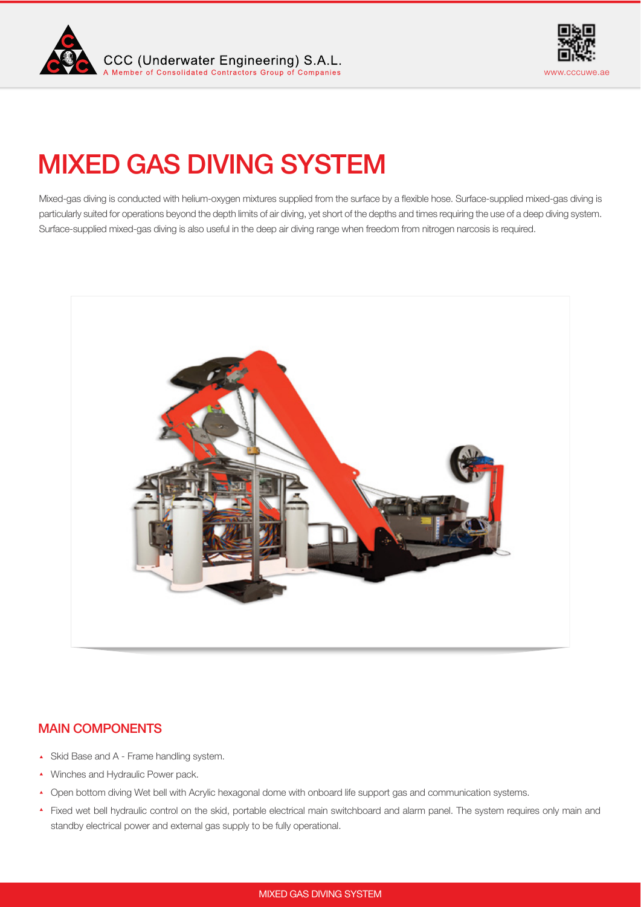



# MIXED GAS DIVING SYSTEM

Mixed-gas diving is conducted with helium-oxygen mixtures supplied from the surface by a fexible hose. Surface-supplied mixed-gas diving is particularly suited for operations beyond the depth limits of air diving, yet short of the depths and times requiring the use of a deep diving system. Surface-supplied mixed-gas diving is also useful in the deep air diving range when freedom from nitrogen narcosis is required.



# MAIN COMPONENTS

- ◆ Skid Base and A Frame handling system.
- ▲ Winches and Hydraulic Power pack.
- ◆ Open bottom diving Wet bell with Acrylic hexagonal dome with onboard life support gas and communication systems.
- Fixed wet bell hydraulic control on the skid, portable electrical main switchboard and alarm panel. The system requires only main and standby electrical power and external gas supply to be fully operational.